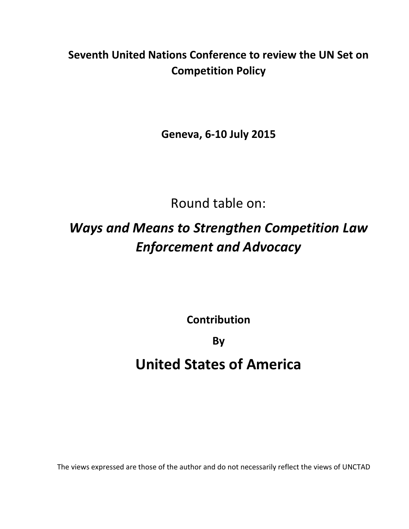### **Seventh United Nations Conference to review the UN Set on Competition Policy**

**Geneva, 6-10 July 2015**

Round table on:

# *Ways and Means to Strengthen Competition Law Enforcement and Advocacy*

**Contribution**

**By**

## **United States of America**

The views expressed are those of the author and do not necessarily reflect the views of UNCTAD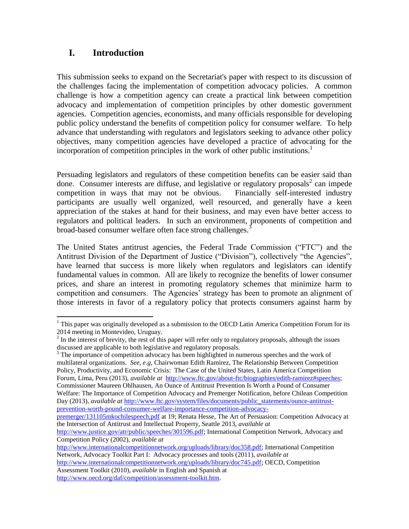#### **I. Introduction**

 $\overline{a}$ 

This submission seeks to expand on the Secretariat's paper with respect to its discussion of the challenges facing the implementation of competition advocacy policies. A common challenge is how a competition agency can create a practical link between competition advocacy and implementation of competition principles by other domestic government agencies. Competition agencies, economists, and many officials responsible for developing public policy understand the benefits of competition policy for consumer welfare. To help advance that understanding with regulators and legislators seeking to advance other policy objectives, many competition agencies have developed a practice of advocating for the incorporation of competition principles in the work of other public institutions.<sup>1</sup>

Persuading legislators and regulators of these competition benefits can be easier said than done. Consumer interests are diffuse, and legislative or regulatory proposals<sup>2</sup> can impede competition in ways that may not be obvious. Financially self-interested industry participants are usually well organized, well resourced, and generally have a keen appreciation of the stakes at hand for their business, and may even have better access to regulators and political leaders. In such an environment, proponents of competition and broad-based consumer welfare often face strong challenges.<sup>3</sup>

The United States antitrust agencies, the Federal Trade Commission ("FTC") and the Antitrust Division of the Department of Justice ("Division"), collectively "the Agencies", have learned that success is more likely when regulators and legislators can identify fundamental values in common. All are likely to recognize the benefits of lower consumer prices, and share an interest in promoting regulatory schemes that minimize harm to competition and consumers. The Agencies' strategy has been to promote an alignment of those interests in favor of a regulatory policy that protects consumers against harm by

 $3$  The importance of competition advocacy has been highlighted in numerous speeches and the work of multilateral organizations. *See, e.g,* Chairwoman Edith Ramirez, The Relationship Between Competition Policy, Productivity, and Economic Crisis: The Case of the United States, Latin America Competition Forum, Lima, Peru (2013), *available at* [http://www.ftc.gov/about-ftc/biographies/edith-ramirez#speeches;](http://www.ftc.gov/about-ftc/biographies/edith-ramirez#speeches)

Commissioner Maureen Ohlhausen, An Ounce of Antitrust Prevention Is Worth a Pound of Consumer Welfare: The Importance of Competition Advocacy and Premerger Notification, before Chilean Competition Day (2013), *available at* [http://www.ftc.gov/system/files/documents/public\\_statements/ounce-antitrust](http://www.ftc.gov/system/files/documents/public_statements/ounce-antitrust-prevention-worth-pound-consumer-welfare-importance-competition-advocacy-premerger/131105mkochilespeech.pdf)[prevention-worth-pound-consumer-welfare-importance-competition-advocacy-](http://www.ftc.gov/system/files/documents/public_statements/ounce-antitrust-prevention-worth-pound-consumer-welfare-importance-competition-advocacy-premerger/131105mkochilespeech.pdf)

[premerger/131105mkochilespeech.pdf](http://www.ftc.gov/system/files/documents/public_statements/ounce-antitrust-prevention-worth-pound-consumer-welfare-importance-competition-advocacy-premerger/131105mkochilespeech.pdf) at 19; Renata Hesse, The Art of Persuasion: Competition Advocacy at the Intersection of Antitrust and Intellectual Property, Seattle 2013, *available at* 

[http://www.internationalcompetitionnetwork.org/uploads/library/doc358.pdf;](http://www.internationalcompetitionnetwork.org/uploads/library/doc358.pdf) International Competition Network, Advocacy Toolkit Part I: Advocacy processes and tools (2011), *available at*

[http://www.internationalcompetitionnetwork.org/uploads/library/doc745.pdf;](http://www.internationalcompetitionnetwork.org/uploads/library/doc745.pdf) OECD, Competition Assessment Toolkit (2010), *available* in English and Spanish at

[http://www.oecd.org/daf/competition/assessment-toolkit.htm.](http://www.oecd.org/daf/competition/assessment-toolkit.htm)

 $1$  This paper was originally developed as a submission to the OECD Latin America Competition Forum for its 2014 meeting in Montevideo, Uruguay.

 $2 \text{ In the interest of brevity, the rest of this paper will refer only to regulatory proposals, although the issues.}$ discussed are applicable to both legislative and regulatory proposals.

[http://www.justice.gov/atr/public/speeches/301596.pdf;](http://www.justice.gov/atr/public/speeches/301596.pdf) International Competition Network, Advocacy and Competition Policy (2002), *available at*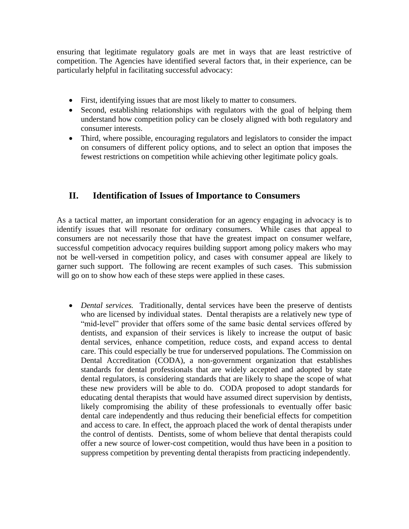ensuring that legitimate regulatory goals are met in ways that are least restrictive of competition. The Agencies have identified several factors that, in their experience, can be particularly helpful in facilitating successful advocacy:

- First, identifying issues that are most likely to matter to consumers.
- Second, establishing relationships with regulators with the goal of helping them understand how competition policy can be closely aligned with both regulatory and consumer interests.
- Third, where possible, encouraging regulators and legislators to consider the impact on consumers of different policy options, and to select an option that imposes the fewest restrictions on competition while achieving other legitimate policy goals.

#### **II. Identification of Issues of Importance to Consumers**

As a tactical matter, an important consideration for an agency engaging in advocacy is to identify issues that will resonate for ordinary consumers. While cases that appeal to consumers are not necessarily those that have the greatest impact on consumer welfare, successful competition advocacy requires building support among policy makers who may not be well-versed in competition policy, and cases with consumer appeal are likely to garner such support. The following are recent examples of such cases. This submission will go on to show how each of these steps were applied in these cases.

 *Dental services.* Traditionally, dental services have been the preserve of dentists who are licensed by individual states. Dental therapists are a relatively new type of "mid-level" provider that offers some of the same basic dental services offered by dentists, and expansion of their services is likely to increase the output of basic dental services, enhance competition, reduce costs, and expand access to dental care. This could especially be true for underserved populations. The Commission on Dental Accreditation (CODA), a non-government organization that establishes standards for dental professionals that are widely accepted and adopted by state dental regulators, is considering standards that are likely to shape the scope of what these new providers will be able to do. CODA proposed to adopt standards for educating dental therapists that would have assumed direct supervision by dentists, likely compromising the ability of these professionals to eventually offer basic dental care independently and thus reducing their beneficial effects for competition and access to care. In effect, the approach placed the work of dental therapists under the control of dentists. Dentists, some of whom believe that dental therapists could offer a new source of lower-cost competition, would thus have been in a position to suppress competition by preventing dental therapists from practicing independently.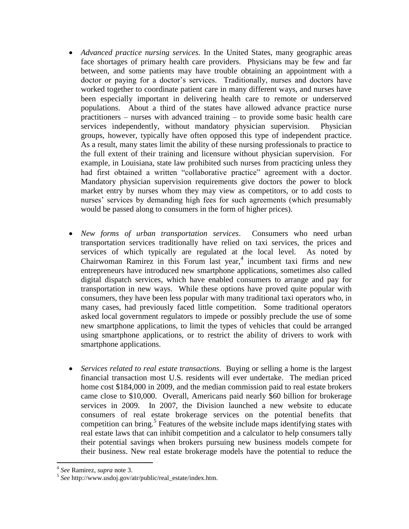- *Advanced practice nursing services.* In the United States, many geographic areas face shortages of primary health care providers. Physicians may be few and far between, and some patients may have trouble obtaining an appointment with a doctor or paying for a doctor's services. Traditionally, nurses and doctors have worked together to coordinate patient care in many different ways, and nurses have been especially important in delivering health care to remote or underserved populations. About a third of the states have allowed advance practice nurse practitioners – nurses with advanced training – to provide some basic health care services independently, without mandatory physician supervision. Physician groups, however, typically have often opposed this type of independent practice. As a result, many states limit the ability of these nursing professionals to practice to the full extent of their training and licensure without physician supervision. For example, in Louisiana, state law prohibited such nurses from practicing unless they had first obtained a written "collaborative practice" agreement with a doctor. Mandatory physician supervision requirements give doctors the power to block market entry by nurses whom they may view as competitors, or to add costs to nurses' services by demanding high fees for such agreements (which presumably would be passed along to consumers in the form of higher prices).
- *New forms of urban transportation services*. Consumers who need urban transportation services traditionally have relied on taxi services, the prices and services of which typically are regulated at the local level. As noted by Chairwoman Ramirez in this Forum last year,<sup>4</sup> incumbent taxi firms and new entrepreneurs have introduced new smartphone applications, sometimes also called digital dispatch services, which have enabled consumers to arrange and pay for transportation in new ways. While these options have proved quite popular with consumers, they have been less popular with many traditional taxi operators who, in many cases, had previously faced little competition. Some traditional operators asked local government regulators to impede or possibly preclude the use of some new smartphone applications, to limit the types of vehicles that could be arranged using smartphone applications, or to restrict the ability of drivers to work with smartphone applications.
- *Services related to real estate transactions.* Buying or selling a home is the largest financial transaction most U.S. residents will ever undertake. The median priced home cost \$184,000 in 2009, and the median commission paid to real estate brokers came close to \$10,000. Overall, Americans paid nearly \$60 billion for brokerage services in 2009. In 2007, the Division launched a new website to educate consumers of real estate brokerage services on the potential benefits that competition can bring.<sup>5</sup> Features of the website include maps identifying states with real estate laws that can inhibit competition and a calculator to help consumers tally their potential savings when brokers pursuing new business models compete for their business. New real estate brokerage models have the potential to reduce the

 $\ddot{\phantom{a}}$ 

<sup>4</sup> *See* Ramirez, *supra* note 3.

<sup>5</sup> *See* http://www.usdoj.gov/atr/public/real\_estate/index.htm.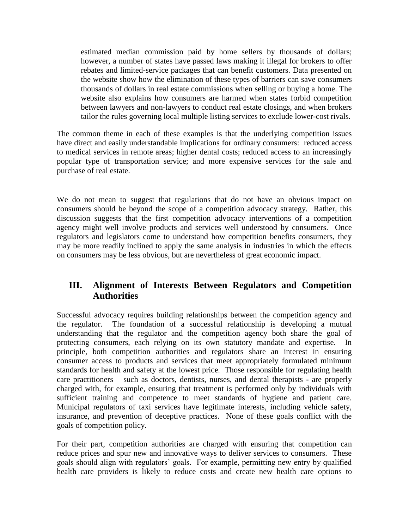estimated median commission paid by home sellers by thousands of dollars; however, a number of states have passed laws making it illegal for brokers to offer rebates and limited-service packages that can benefit customers. Data presented on the website show how the elimination of these types of barriers can save consumers thousands of dollars in real estate commissions when selling or buying a home. The website also explains how consumers are harmed when states forbid competition between lawyers and non-lawyers to conduct real estate closings, and when brokers tailor the rules governing local multiple listing services to exclude lower-cost rivals.

The common theme in each of these examples is that the underlying competition issues have direct and easily understandable implications for ordinary consumers: reduced access to medical services in remote areas; higher dental costs; reduced access to an increasingly popular type of transportation service; and more expensive services for the sale and purchase of real estate.

We do not mean to suggest that regulations that do not have an obvious impact on consumers should be beyond the scope of a competition advocacy strategy. Rather, this discussion suggests that the first competition advocacy interventions of a competition agency might well involve products and services well understood by consumers. Once regulators and legislators come to understand how competition benefits consumers, they may be more readily inclined to apply the same analysis in industries in which the effects on consumers may be less obvious, but are nevertheless of great economic impact.

#### **III. Alignment of Interests Between Regulators and Competition Authorities**

Successful advocacy requires building relationships between the competition agency and the regulator. The foundation of a successful relationship is developing a mutual understanding that the regulator and the competition agency both share the goal of protecting consumers, each relying on its own statutory mandate and expertise. In principle, both competition authorities and regulators share an interest in ensuring consumer access to products and services that meet appropriately formulated minimum standards for health and safety at the lowest price. Those responsible for regulating health care practitioners – such as doctors, dentists, nurses, and dental therapists - are properly charged with, for example, ensuring that treatment is performed only by individuals with sufficient training and competence to meet standards of hygiene and patient care. Municipal regulators of taxi services have legitimate interests, including vehicle safety, insurance, and prevention of deceptive practices. None of these goals conflict with the goals of competition policy.

For their part, competition authorities are charged with ensuring that competition can reduce prices and spur new and innovative ways to deliver services to consumers. These goals should align with regulators' goals. For example, permitting new entry by qualified health care providers is likely to reduce costs and create new health care options to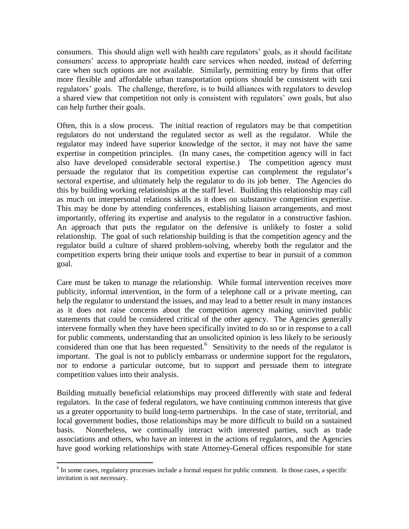consumers. This should align well with health care regulators' goals, as it should facilitate consumers' access to appropriate health care services when needed, instead of deferring care when such options are not available. Similarly, permitting entry by firms that offer more flexible and affordable urban transportation options should be consistent with taxi regulators' goals. The challenge, therefore, is to build alliances with regulators to develop a shared view that competition not only is consistent with regulators' own goals, but also can help further their goals.

Often, this is a slow process. The initial reaction of regulators may be that competition regulators do not understand the regulated sector as well as the regulator. While the regulator may indeed have superior knowledge of the sector, it may not have the same expertise in competition principles. (In many cases, the competition agency will in fact also have developed considerable sectoral expertise.) The competition agency must persuade the regulator that its competition expertise can complement the regulator's sectoral expertise, and ultimately help the regulator to do its job better. The Agencies do this by building working relationships at the staff level. Building this relationship may call as much on interpersonal relations skills as it does on substantive competition expertise. This may be done by attending conferences, establishing liaison arrangements, and most importantly, offering its expertise and analysis to the regulator in a constructive fashion. An approach that puts the regulator on the defensive is unlikely to foster a solid relationship. The goal of such relationship building is that the competition agency and the regulator build a culture of shared problem-solving, whereby both the regulator and the competition experts bring their unique tools and expertise to bear in pursuit of a common goal.

Care must be taken to manage the relationship. While formal intervention receives more publicity, informal intervention, in the form of a telephone call or a private meeting, can help the regulator to understand the issues, and may lead to a better result in many instances as it does not raise concerns about the competition agency making uninvited public statements that could be considered critical of the other agency. The Agencies generally intervene formally when they have been specifically invited to do so or in response to a call for public comments, understanding that an unsolicited opinion is less likely to be seriously considered than one that has been requested.<sup>6</sup> Sensitivity to the needs of the regulator is important. The goal is not to publicly embarrass or undermine support for the regulators, nor to endorse a particular outcome, but to support and persuade them to integrate competition values into their analysis.

Building mutually beneficial relationships may proceed differently with state and federal regulators. In the case of federal regulators, we have continuing common interests that give us a greater opportunity to build long-term partnerships. In the case of state, territorial, and local government bodies, those relationships may be more difficult to build on a sustained basis. Nonetheless, we continually interact with interested parties, such as trade associations and others, who have an interest in the actions of regulators, and the Agencies have good working relationships with state Attorney-General offices responsible for state

<sup>&</sup>lt;sup>6</sup> In some cases, regulatory processes include a formal request for public comment. In those cases, a specific invitation is not necessary.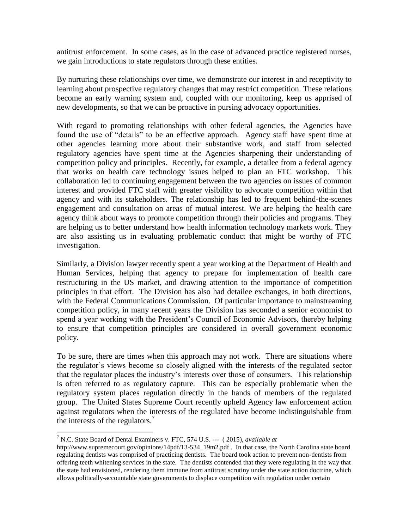antitrust enforcement. In some cases, as in the case of advanced practice registered nurses, we gain introductions to state regulators through these entities.

By nurturing these relationships over time, we demonstrate our interest in and receptivity to learning about prospective regulatory changes that may restrict competition. These relations become an early warning system and, coupled with our monitoring, keep us apprised of new developments, so that we can be proactive in pursing advocacy opportunities.

With regard to promoting relationships with other federal agencies, the Agencies have found the use of "details" to be an effective approach. Agency staff have spent time at other agencies learning more about their substantive work, and staff from selected regulatory agencies have spent time at the Agencies sharpening their understanding of competition policy and principles. Recently, for example, a detailee from a federal agency that works on health care technology issues helped to plan an FTC workshop. This collaboration led to continuing engagement between the two agencies on issues of common interest and provided FTC staff with greater visibility to advocate competition within that agency and with its stakeholders. The relationship has led to frequent behind-the-scenes engagement and consultation on areas of mutual interest. We are helping the health care agency think about ways to promote competition through their policies and programs. They are helping us to better understand how health information technology markets work. They are also assisting us in evaluating problematic conduct that might be worthy of FTC investigation.

Similarly, a Division lawyer recently spent a year working at the Department of Health and Human Services, helping that agency to prepare for implementation of health care restructuring in the US market, and drawing attention to the importance of competition principles in that effort. The Division has also had detailee exchanges, in both directions, with the Federal Communications Commission. Of particular importance to mainstreaming competition policy, in many recent years the Division has seconded a senior economist to spend a year working with the President's Council of Economic Advisors, thereby helping to ensure that competition principles are considered in overall government economic policy.

To be sure, there are times when this approach may not work. There are situations where the regulator's views become so closely aligned with the interests of the regulated sector that the regulator places the industry's interests over those of consumers. This relationship is often referred to as regulatory capture. This can be especially problematic when the regulatory system places regulation directly in the hands of members of the regulated group. The United States Supreme Court recently upheld Agency law enforcement action against regulators when the interests of the regulated have become indistinguishable from the interests of the regulators.<sup>7</sup>

 $\overline{a}$ 

<sup>7</sup> N.C. State Board of Dental Examiners v. FTC, 574 U.S. --- ( 2015), *available at*

http://www.supremecourt.gov/opinions/14pdf/13-534\_19m2.pdf . In that case, the North Carolina state board regulating dentists was comprised of practicing dentists. The board took action to prevent non-dentists from offering teeth whitening services in the state. The dentists contended that they were regulating in the way that the state had envisioned, rendering them immune from antitrust scrutiny under the state action doctrine, which allows politically-accountable state governments to displace competition with regulation under certain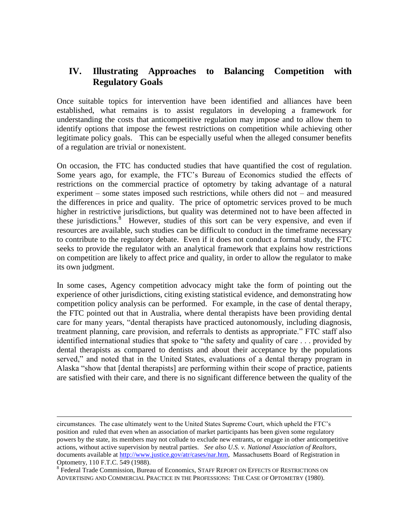#### **IV. Illustrating Approaches to Balancing Competition with Regulatory Goals**

Once suitable topics for intervention have been identified and alliances have been established, what remains is to assist regulators in developing a framework for understanding the costs that anticompetitive regulation may impose and to allow them to identify options that impose the fewest restrictions on competition while achieving other legitimate policy goals. This can be especially useful when the alleged consumer benefits of a regulation are trivial or nonexistent.

On occasion, the FTC has conducted studies that have quantified the cost of regulation. Some years ago, for example, the FTC's Bureau of Economics studied the effects of restrictions on the commercial practice of optometry by taking advantage of a natural experiment – some states imposed such restrictions, while others did not – and measured the differences in price and quality. The price of optometric services proved to be much higher in restrictive jurisdictions, but quality was determined not to have been affected in these jurisdictions.<sup>8</sup> However, studies of this sort can be very expensive, and even if resources are available, such studies can be difficult to conduct in the timeframe necessary to contribute to the regulatory debate. Even if it does not conduct a formal study, the FTC seeks to provide the regulator with an analytical framework that explains how restrictions on competition are likely to affect price and quality, in order to allow the regulator to make its own judgment.

In some cases, Agency competition advocacy might take the form of pointing out the experience of other jurisdictions, citing existing statistical evidence, and demonstrating how competition policy analysis can be performed. For example, in the case of dental therapy, the FTC pointed out that in Australia, where dental therapists have been providing dental care for many years, "dental therapists have practiced autonomously, including diagnosis, treatment planning, care provision, and referrals to dentists as appropriate." FTC staff also identified international studies that spoke to "the safety and quality of care . . . provided by dental therapists as compared to dentists and about their acceptance by the populations served," and noted that in the United States, evaluations of a dental therapy program in Alaska "show that [dental therapists] are performing within their scope of practice, patients are satisfied with their care, and there is no significant difference between the quality of the

1

circumstances. The case ultimately went to the United States Supreme Court, which upheld the FTC's position and ruled that even when an association of market participants has been given some regulatory powers by the state, its members may not collude to exclude new entrants, or engage in other anticompetitive actions, without active supervision by neutral parties. *See also U.S. v. National Association of Realtors*, documents available at [http://www.justice.gov/atr/cases/nar.htm,](http://www.justice.gov/atr/cases/nar.htm) Massachusetts Board of Registration in Optometry, 110 F.T.C. 549 (1988).

<sup>&</sup>lt;sup>8</sup> Federal Trade Commission, Bureau of Economics, STAFF REPORT ON EFFECTS OF RESTRICTIONS ON ADVERTISING AND COMMERCIAL PRACTICE IN THE PROFESSIONS: THE CASE OF OPTOMETRY (1980).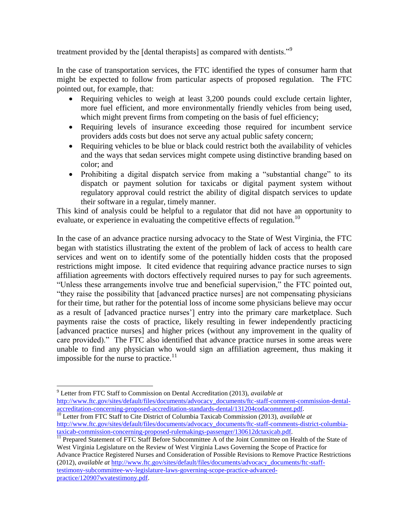treatment provided by the [dental therapists] as compared with dentists."<sup>9</sup>

In the case of transportation services, the FTC identified the types of consumer harm that might be expected to follow from particular aspects of proposed regulation. The FTC pointed out, for example, that:

- Requiring vehicles to weigh at least 3,200 pounds could exclude certain lighter, more fuel efficient, and more environmentally friendly vehicles from being used, which might prevent firms from competing on the basis of fuel efficiency;
- Requiring levels of insurance exceeding those required for incumbent service providers adds costs but does not serve any actual public safety concern;
- Requiring vehicles to be blue or black could restrict both the availability of vehicles and the ways that sedan services might compete using distinctive branding based on color; and
- Prohibiting a digital dispatch service from making a "substantial change" to its dispatch or payment solution for taxicabs or digital payment system without regulatory approval could restrict the ability of digital dispatch services to update their software in a regular, timely manner.

This kind of analysis could be helpful to a regulator that did not have an opportunity to evaluate, or experience in evaluating the competitive effects of regulation.<sup>10</sup>

In the case of an advance practice nursing advocacy to the State of West Virginia, the FTC began with statistics illustrating the extent of the problem of lack of access to health care services and went on to identify some of the potentially hidden costs that the proposed restrictions might impose. It cited evidence that requiring advance practice nurses to sign affiliation agreements with doctors effectively required nurses to pay for such agreements. "Unless these arrangements involve true and beneficial supervision," the FTC pointed out, "they raise the possibility that [advanced practice nurses] are not compensating physicians for their time, but rather for the potential loss of income some physicians believe may occur as a result of [advanced practice nurses'] entry into the primary care marketplace. Such payments raise the costs of practice, likely resulting in fewer independently practicing [advanced practice nurses] and higher prices (without any improvement in the quality of care provided)." The FTC also identified that advance practice nurses in some areas were unable to find any physician who would sign an affiliation agreement, thus making it impossible for the nurse to practice. $\frac{11}{11}$ 

 $\overline{a}$ 

<sup>9</sup> Letter from FTC Staff to Commission on Dental Accreditation (2013), *available at* [http://www.ftc.gov/sites/default/files/documents/advocacy\\_documents/ftc-staff-comment-commission-dental](http://www.ftc.gov/sites/default/files/documents/advocacy_documents/ftc-staff-comment-commission-dental-accreditation-concerning-proposed-accreditation-standards-dental/131204codacomment.pdf)[accreditation-concerning-proposed-accreditation-standards-dental/131204codacomment.pdf.](http://www.ftc.gov/sites/default/files/documents/advocacy_documents/ftc-staff-comment-commission-dental-accreditation-concerning-proposed-accreditation-standards-dental/131204codacomment.pdf)

<sup>10</sup> Letter from FTC Staff to Cite District of Columbia Taxicab Commission (2013), *available at* [http://www.ftc.gov/sites/default/files/documents/advocacy\\_documents/ftc-staff-comments-district-columbia](http://www.ftc.gov/sites/default/files/documents/advocacy_documents/ftc-staff-comments-district-columbia-taxicab-commission-concerning-proposed-rulemakings-passenger/130612dctaxicab.pdf)[taxicab-commission-concerning-proposed-rulemakings-passenger/130612dctaxicab.pdf.](http://www.ftc.gov/sites/default/files/documents/advocacy_documents/ftc-staff-comments-district-columbia-taxicab-commission-concerning-proposed-rulemakings-passenger/130612dctaxicab.pdf)

<sup>&</sup>lt;sup>11</sup> Prepared Statement of FTC Staff Before Subcommittee A of the Joint Committee on Health of the State of West Virginia Legislature on the Review of West Virginia Laws Governing the Scope of Practice for Advance Practice Registered Nurses and Consideration of Possible Revisions to Remove Practice Restrictions (2012), *available at* [http://www.ftc.gov/sites/default/files/documents/advocacy\\_documents/ftc-staff](http://www.ftc.gov/sites/default/files/documents/advocacy_documents/ftc-staff-testimony-subcommittee-wv-legislature-laws-governing-scope-practice-advanced-practice/120907wvatestimony.pdf)[testimony-subcommittee-wv-legislature-laws-governing-scope-practice-advanced](http://www.ftc.gov/sites/default/files/documents/advocacy_documents/ftc-staff-testimony-subcommittee-wv-legislature-laws-governing-scope-practice-advanced-practice/120907wvatestimony.pdf)[practice/120907wvatestimony.pdf.](http://www.ftc.gov/sites/default/files/documents/advocacy_documents/ftc-staff-testimony-subcommittee-wv-legislature-laws-governing-scope-practice-advanced-practice/120907wvatestimony.pdf)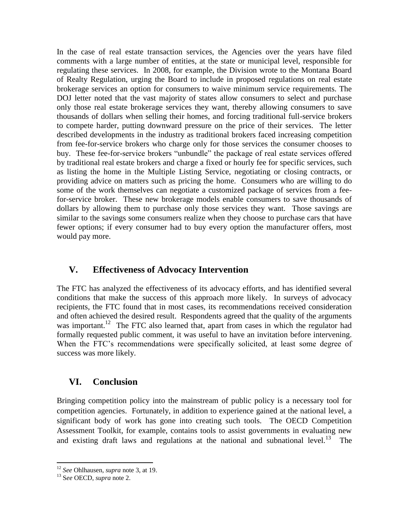In the case of real estate transaction services, the Agencies over the years have filed comments with a large number of entities, at the state or municipal level, responsible for regulating these services. In 2008, for example, the Division wrote to the Montana Board of Realty Regulation, urging the Board to include in proposed regulations on real estate brokerage services an option for consumers to waive minimum service requirements. The DOJ letter noted that the vast majority of states allow consumers to select and purchase only those real estate brokerage services they want, thereby allowing consumers to save thousands of dollars when selling their homes, and forcing traditional full-service brokers to compete harder, putting downward pressure on the price of their services. The letter described developments in the industry as traditional brokers faced increasing competition from fee-for-service brokers who charge only for those services the consumer chooses to buy. These fee-for-service brokers "unbundle" the package of real estate services offered by traditional real estate brokers and charge a fixed or hourly fee for specific services, such as listing the home in the Multiple Listing Service, negotiating or closing contracts, or providing advice on matters such as pricing the home. Consumers who are willing to do some of the work themselves can negotiate a customized package of services from a feefor-service broker. These new brokerage models enable consumers to save thousands of dollars by allowing them to purchase only those services they want. Those savings are similar to the savings some consumers realize when they choose to purchase cars that have fewer options; if every consumer had to buy every option the manufacturer offers, most would pay more.

#### **V. Effectiveness of Advocacy Intervention**

The FTC has analyzed the effectiveness of its advocacy efforts, and has identified several conditions that make the success of this approach more likely. In surveys of advocacy recipients, the FTC found that in most cases, its recommendations received consideration and often achieved the desired result. Respondents agreed that the quality of the arguments was important.<sup>12</sup> The FTC also learned that, apart from cases in which the regulator had formally requested public comment, it was useful to have an invitation before intervening. When the FTC's recommendations were specifically solicited, at least some degree of success was more likely.

#### **VI. Conclusion**

Bringing competition policy into the mainstream of public policy is a necessary tool for competition agencies. Fortunately, in addition to experience gained at the national level, a significant body of work has gone into creating such tools. The OECD Competition Assessment Toolkit, for example, contains tools to assist governments in evaluating new and existing draft laws and regulations at the national and subnational level.<sup>13</sup> The

 $\ddot{\phantom{a}}$ 

<sup>12</sup> *See* Ohlhausen, *supra* note 3, at 19.

<sup>13</sup> S*ee* OECD, *supra* note 2.